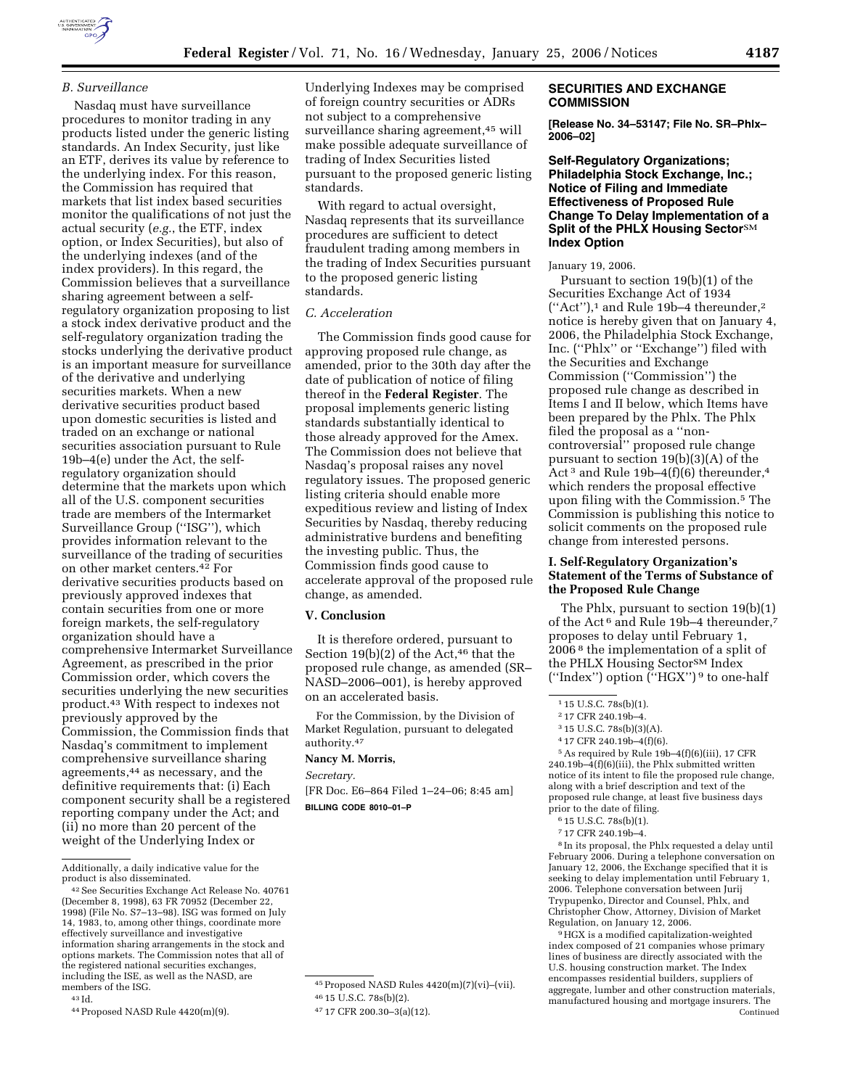

# *B. Surveillance*

Nasdaq must have surveillance procedures to monitor trading in any products listed under the generic listing standards. An Index Security, just like an ETF, derives its value by reference to the underlying index. For this reason, the Commission has required that markets that list index based securities monitor the qualifications of not just the actual security (*e.g.*, the ETF, index option, or Index Securities), but also of the underlying indexes (and of the index providers). In this regard, the Commission believes that a surveillance sharing agreement between a selfregulatory organization proposing to list a stock index derivative product and the self-regulatory organization trading the stocks underlying the derivative product is an important measure for surveillance of the derivative and underlying securities markets. When a new derivative securities product based upon domestic securities is listed and traded on an exchange or national securities association pursuant to Rule 19b–4(e) under the Act, the selfregulatory organization should determine that the markets upon which all of the U.S. component securities trade are members of the Intermarket Surveillance Group (''ISG''), which provides information relevant to the surveillance of the trading of securities on other market centers.42 For derivative securities products based on previously approved indexes that contain securities from one or more foreign markets, the self-regulatory organization should have a comprehensive Intermarket Surveillance Agreement, as prescribed in the prior Commission order, which covers the securities underlying the new securities product.43 With respect to indexes not previously approved by the Commission, the Commission finds that Nasdaq's commitment to implement comprehensive surveillance sharing agreements,44 as necessary, and the definitive requirements that: (i) Each component security shall be a registered reporting company under the Act; and (ii) no more than 20 percent of the weight of the Underlying Index or

43 Id.

44Proposed NASD Rule 4420(m)(9).

Underlying Indexes may be comprised of foreign country securities or ADRs not subject to a comprehensive surveillance sharing agreement,<sup>45</sup> will make possible adequate surveillance of trading of Index Securities listed pursuant to the proposed generic listing standards.

With regard to actual oversight, Nasdaq represents that its surveillance procedures are sufficient to detect fraudulent trading among members in the trading of Index Securities pursuant to the proposed generic listing standards.

#### *C. Acceleration*

The Commission finds good cause for approving proposed rule change, as amended, prior to the 30th day after the date of publication of notice of filing thereof in the **Federal Register**. The proposal implements generic listing standards substantially identical to those already approved for the Amex. The Commission does not believe that Nasdaq's proposal raises any novel regulatory issues. The proposed generic listing criteria should enable more expeditious review and listing of Index Securities by Nasdaq, thereby reducing administrative burdens and benefiting the investing public. Thus, the Commission finds good cause to accelerate approval of the proposed rule change, as amended.

### **V. Conclusion**

It is therefore ordered, pursuant to Section 19(b)(2) of the Act, $46$  that the proposed rule change, as amended (SR– NASD–2006–001), is hereby approved on an accelerated basis.

For the Commission, by the Division of Market Regulation, pursuant to delegated authority.47

### **Nancy M. Morris,**

*Secretary.* 

[FR Doc. E6–864 Filed 1–24–06; 8:45 am] **BILLING CODE 8010–01–P** 

## **SECURITIES AND EXCHANGE COMMISSION**

**[Release No. 34–53147; File No. SR–Phlx– 2006–02]** 

# **Self-Regulatory Organizations; Philadelphia Stock Exchange, Inc.; Notice of Filing and Immediate Effectiveness of Proposed Rule Change To Delay Implementation of a Split of the PHLX Housing SectorSM Index Option**

#### January 19, 2006.

Pursuant to section 19(b)(1) of the Securities Exchange Act of 1934 (''Act''),1 and Rule 19b–4 thereunder,2 notice is hereby given that on January 4, 2006, the Philadelphia Stock Exchange, Inc. (''Phlx'' or ''Exchange'') filed with the Securities and Exchange Commission (''Commission'') the proposed rule change as described in Items I and II below, which Items have been prepared by the Phlx. The Phlx filed the proposal as a ''noncontroversial'' proposed rule change pursuant to section 19(b)(3)(A) of the Act 3 and Rule 19b–4(f)(6) thereunder,4 which renders the proposal effective upon filing with the Commission.5 The Commission is publishing this notice to solicit comments on the proposed rule change from interested persons.

# **I. Self-Regulatory Organization's Statement of the Terms of Substance of the Proposed Rule Change**

The Phlx, pursuant to section 19(b)(1) of the Act 6 and Rule 19b–4 thereunder,7 proposes to delay until February 1, 2006 8 the implementation of a split of the PHLX Housing Sector<sup>SM</sup> Index (''Index'') option (''HGX'') 9 to one-half

5As required by Rule 19b–4(f)(6)(iii), 17 CFR  $240.19b-4(f)(6)(iii)$ , the Phlx submitted written notice of its intent to file the proposed rule change, along with a brief description and text of the proposed rule change, at least five business days prior to the date of filing.

8 In its proposal, the Phlx requested a delay until February 2006. During a telephone conversation on January 12, 2006, the Exchange specified that it is seeking to delay implementation until February 1, 2006. Telephone conversation between Jurij Trypupenko, Director and Counsel, Phlx, and Christopher Chow, Attorney, Division of Market Regulation, on January 12, 2006.

9HGX is a modified capitalization-weighted index composed of 21 companies whose primary lines of business are directly associated with the U.S. housing construction market. The Index encompasses residential builders, suppliers of aggregate, lumber and other construction materials, manufactured housing and mortgage insurers. The Continued

Additionally, a daily indicative value for the

 $^{42}\rm{See}$  Securities Exchange Act Release No.  $40761$ (December 8, 1998), 63 FR 70952 (December 22, 1998) (File No. S7–13–98). ISG was formed on July 14, 1983, to, among other things, coordinate more effectively surveillance and investigative information sharing arrangements in the stock and options markets. The Commission notes that all of the registered national securities exchanges, including the ISE, as well as the NASD, are members of the ISG.

<sup>45</sup>Proposed NASD Rules 4420(m)(7)(vi)–(vii). 46 15 U.S.C. 78s(b)(2).

<sup>47</sup> 17 CFR 200.30–3(a)(12).

<sup>1</sup> 15 U.S.C. 78s(b)(1).

<sup>2</sup> 17 CFR 240.19b–4.

<sup>3</sup> 15 U.S.C. 78s(b)(3)(A).

<sup>4</sup> 17 CFR 240.19b–4(f)(6).

<sup>6</sup> 15 U.S.C. 78s(b)(1).

<sup>7</sup> 17 CFR 240.19b–4.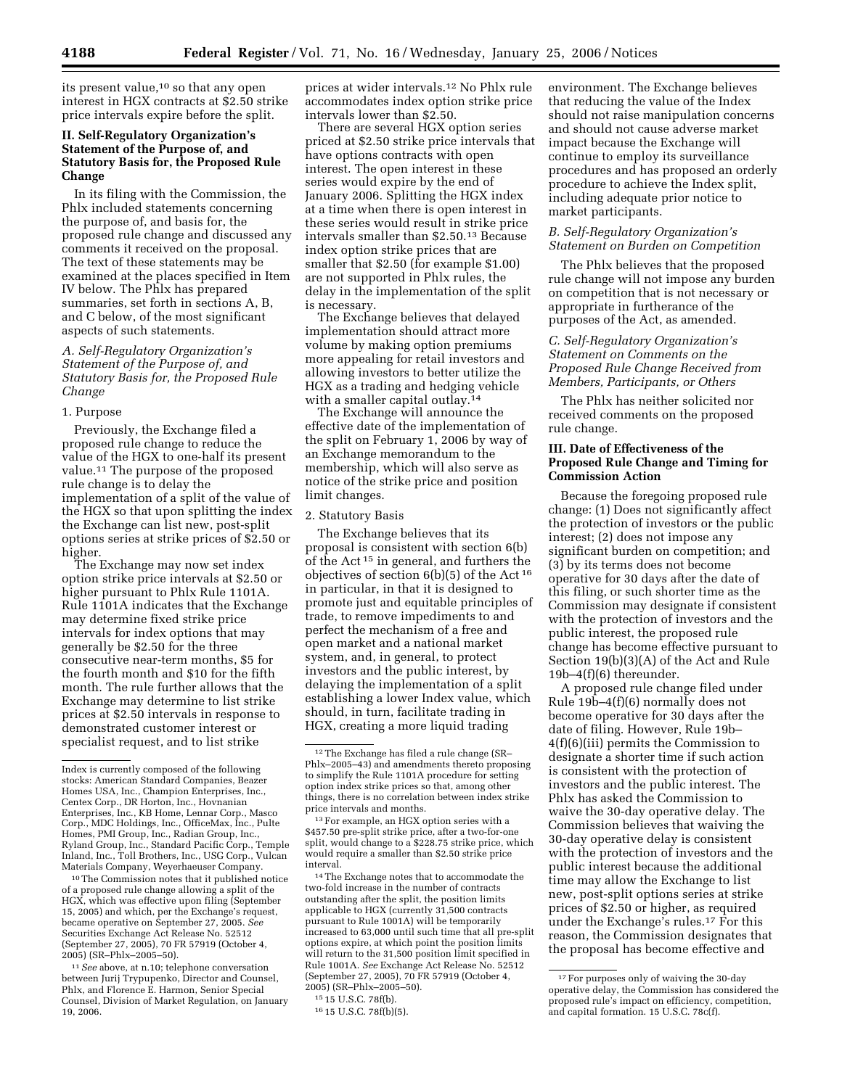its present value,<sup>10</sup> so that any open interest in HGX contracts at \$2.50 strike price intervals expire before the split.

# **II. Self-Regulatory Organization's Statement of the Purpose of, and Statutory Basis for, the Proposed Rule Change**

In its filing with the Commission, the Phlx included statements concerning the purpose of, and basis for, the proposed rule change and discussed any comments it received on the proposal. The text of these statements may be examined at the places specified in Item IV below. The Phlx has prepared summaries, set forth in sections A, B, and C below, of the most significant aspects of such statements.

## *A. Self-Regulatory Organization's Statement of the Purpose of, and Statutory Basis for, the Proposed Rule Change*

#### 1. Purpose

Previously, the Exchange filed a proposed rule change to reduce the value of the HGX to one-half its present value.11 The purpose of the proposed rule change is to delay the implementation of a split of the value of the HGX so that upon splitting the index the Exchange can list new, post-split options series at strike prices of \$2.50 or higher.

The Exchange may now set index option strike price intervals at \$2.50 or higher pursuant to Phlx Rule 1101A. Rule 1101A indicates that the Exchange may determine fixed strike price intervals for index options that may generally be \$2.50 for the three consecutive near-term months, \$5 for the fourth month and \$10 for the fifth month. The rule further allows that the Exchange may determine to list strike prices at \$2.50 intervals in response to demonstrated customer interest or specialist request, and to list strike

10The Commission notes that it published notice of a proposed rule change allowing a split of the HGX, which was effective upon filing (September 15, 2005) and which, per the Exchange's request, became operative on September 27, 2005. *See*  Securities Exchange Act Release No. 52512 (September 27, 2005), 70 FR 57919 (October 4, 2005) (SR–Phlx–2005–50).

11*See* above, at n.10; telephone conversation between Jurij Trypupenko, Director and Counsel, Phlx, and Florence E. Harmon, Senior Special Counsel, Division of Market Regulation, on January 19, 2006.

prices at wider intervals.12 No Phlx rule accommodates index option strike price intervals lower than \$2.50.

There are several HGX option series priced at \$2.50 strike price intervals that have options contracts with open interest. The open interest in these series would expire by the end of January 2006. Splitting the HGX index at a time when there is open interest in these series would result in strike price intervals smaller than \$2.50.13 Because index option strike prices that are smaller that \$2.50 (for example \$1.00) are not supported in Phlx rules, the delay in the implementation of the split is necessary.

The Exchange believes that delayed implementation should attract more volume by making option premiums more appealing for retail investors and allowing investors to better utilize the HGX as a trading and hedging vehicle with a smaller capital outlay.14

The Exchange will announce the effective date of the implementation of the split on February 1, 2006 by way of an Exchange memorandum to the membership, which will also serve as notice of the strike price and position limit changes.

### 2. Statutory Basis

The Exchange believes that its proposal is consistent with section 6(b) of the Act 15 in general, and furthers the objectives of section 6(b)(5) of the Act 16 in particular, in that it is designed to promote just and equitable principles of trade, to remove impediments to and perfect the mechanism of a free and open market and a national market system, and, in general, to protect investors and the public interest, by delaying the implementation of a split establishing a lower Index value, which should, in turn, facilitate trading in HGX, creating a more liquid trading

13For example, an HGX option series with a \$457.50 pre-split strike price, after a two-for-one split, would change to a \$228.75 strike price, which would require a smaller than \$2.50 strike price interval.

14The Exchange notes that to accommodate the two-fold increase in the number of contracts outstanding after the split, the position limits applicable to HGX (currently 31,500 contracts pursuant to Rule 1001A) will be temporarily increased to 63,000 until such time that all pre-split options expire, at which point the position limits will return to the 31,500 position limit specified in Rule 1001A. *See* Exchange Act Release No. 52512 (September 27, 2005), 70 FR 57919 (October 4, 2005) (SR–Phlx–2005–50).

environment. The Exchange believes that reducing the value of the Index should not raise manipulation concerns and should not cause adverse market impact because the Exchange will continue to employ its surveillance procedures and has proposed an orderly procedure to achieve the Index split, including adequate prior notice to market participants.

## *B. Self-Regulatory Organization's Statement on Burden on Competition*

The Phlx believes that the proposed rule change will not impose any burden on competition that is not necessary or appropriate in furtherance of the purposes of the Act, as amended.

# *C. Self-Regulatory Organization's Statement on Comments on the Proposed Rule Change Received from Members, Participants, or Others*

The Phlx has neither solicited nor received comments on the proposed rule change.

# **III. Date of Effectiveness of the Proposed Rule Change and Timing for Commission Action**

Because the foregoing proposed rule change: (1) Does not significantly affect the protection of investors or the public interest; (2) does not impose any significant burden on competition; and (3) by its terms does not become operative for 30 days after the date of this filing, or such shorter time as the Commission may designate if consistent with the protection of investors and the public interest, the proposed rule change has become effective pursuant to Section 19(b)(3)(A) of the Act and Rule 19b–4(f)(6) thereunder.

A proposed rule change filed under Rule 19b–4(f)(6) normally does not become operative for 30 days after the date of filing. However, Rule 19b– 4(f)(6)(iii) permits the Commission to designate a shorter time if such action is consistent with the protection of investors and the public interest. The Phlx has asked the Commission to waive the 30-day operative delay. The Commission believes that waiving the 30-day operative delay is consistent with the protection of investors and the public interest because the additional time may allow the Exchange to list new, post-split options series at strike prices of \$2.50 or higher, as required under the Exchange's rules.17 For this reason, the Commission designates that the proposal has become effective and

Index is currently composed of the following stocks: American Standard Companies, Beazer Homes USA, Inc., Champion Enterprises, Inc., Centex Corp., DR Horton, Inc., Hovnanian Enterprises, Inc., KB Home, Lennar Corp., Masco Corp., MDC Holdings, Inc., OfficeMax, Inc., Pulte Homes, PMI Group, Inc., Radian Group, Inc., Ryland Group, Inc., Standard Pacific Corp., Temple Inland, Inc., Toll Brothers, Inc., USG Corp., Vulcan Materials Company, Weyerhaeuser Company.

<sup>12</sup>The Exchange has filed a rule change (SR– Phlx–2005–43) and amendments thereto proposing to simplify the Rule 1101A procedure for setting option index strike prices so that, among other things, there is no correlation between index strike price intervals and months.

<sup>15</sup> 15 U.S.C. 78f(b).

<sup>16</sup> 15 U.S.C. 78f(b)(5).

<sup>17</sup>For purposes only of waiving the 30-day operative delay, the Commission has considered the proposed rule's impact on efficiency, competition, and capital formation. 15 U.S.C. 78c(f).